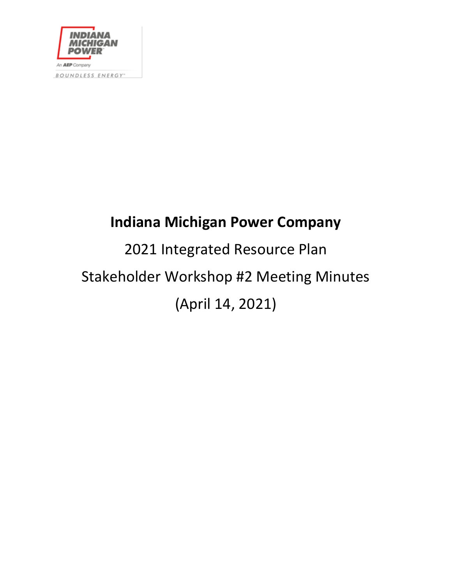

BOUNDLESS ENERGY"

# **Indiana Michigan Power Company**

# 2021 Integrated Resource Plan Stakeholder Workshop #2 Meeting Minutes (April 14, 2021)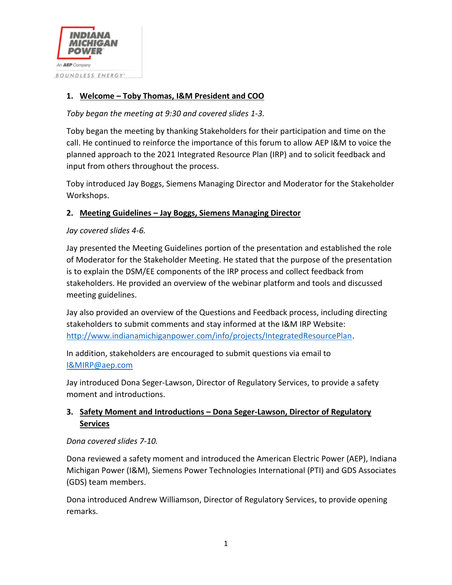

# **1. Welcome – Toby Thomas, I&M President and COO**

*Toby began the meeting at 9:30 and covered slides 1-3.*

Toby began the meeting by thanking Stakeholders for their participation and time on the call. He continued to reinforce the importance of this forum to allow AEP I&M to voice the planned approach to the 2021 Integrated Resource Plan (IRP) and to solicit feedback and input from others throughout the process.

Toby introduced Jay Boggs, Siemens Managing Director and Moderator for the Stakeholder Workshops.

#### **2. Meeting Guidelines – Jay Boggs, Siemens Managing Director**

*Jay covered slides 4-6.*

Jay presented the Meeting Guidelines portion of the presentation and established the role of Moderator for the Stakeholder Meeting. He stated that the purpose of the presentation is to explain the DSM/EE components of the IRP process and collect feedback from stakeholders. He provided an overview of the webinar platform and tools and discussed meeting guidelines.

Jay also provided an overview of the Questions and Feedback process, including directing stakeholders to submit comments and stay informed at the I&M IRP Website: [http://www.indianamichiganpower.com/info/projects/IntegratedResourcePlan.](http://www.indianamichiganpower.com/info/projects/IntegratedResourcePlan)

In addition, stakeholders are encouraged to submit questions via email to [I&MIRP@aep.com](mailto:I&MIRP@aep.com)

Jay introduced Dona Seger-Lawson, Director of Regulatory Services, to provide a safety moment and introductions.

# **3. Safety Moment and Introductions – Dona Seger-Lawson, Director of Regulatory Services**

#### *Dona covered slides 7-10.*

Dona reviewed a safety moment and introduced the American Electric Power (AEP), Indiana Michigan Power (I&M), Siemens Power Technologies International (PTI) and GDS Associates (GDS) team members.

Dona introduced Andrew Williamson, Director of Regulatory Services, to provide opening remarks.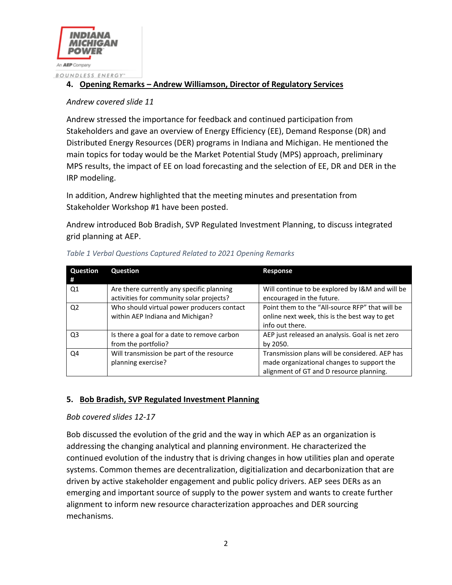

# **4. Opening Remarks – Andrew Williamson, Director of Regulatory Services**

#### *Andrew covered slide 11*

Andrew stressed the importance for feedback and continued participation from Stakeholders and gave an overview of Energy Efficiency (EE), Demand Response (DR) and Distributed Energy Resources (DER) programs in Indiana and Michigan. He mentioned the main topics for today would be the Market Potential Study (MPS) approach, preliminary MPS results, the impact of EE on load forecasting and the selection of EE, DR and DER in the IRP modeling.

In addition, Andrew highlighted that the meeting minutes and presentation from Stakeholder Workshop #1 have been posted.

Andrew introduced Bob Bradish, SVP Regulated Investment Planning, to discuss integrated grid planning at AEP.

| Question<br>#  | Question                                                                              | <b>Response</b>                                                                                                                          |
|----------------|---------------------------------------------------------------------------------------|------------------------------------------------------------------------------------------------------------------------------------------|
| Q1             | Are there currently any specific planning<br>activities for community solar projects? | Will continue to be explored by I&M and will be<br>encouraged in the future.                                                             |
| Q <sub>2</sub> | Who should virtual power producers contact<br>within AEP Indiana and Michigan?        | Point them to the "All-source RFP" that will be<br>online next week, this is the best way to get<br>info out there.                      |
| Q <sub>3</sub> | Is there a goal for a date to remove carbon<br>from the portfolio?                    | AEP just released an analysis. Goal is net zero<br>by 2050.                                                                              |
| O4             | Will transmission be part of the resource<br>planning exercise?                       | Transmission plans will be considered. AEP has<br>made organizational changes to support the<br>alignment of GT and D resource planning. |

#### *Table 1 Verbal Questions Captured Related to 2021 Opening Remarks*

# **5. Bob Bradish, SVP Regulated Investment Planning**

#### *Bob covered slides 12-17*

Bob discussed the evolution of the grid and the way in which AEP as an organization is addressing the changing analytical and planning environment. He characterized the continued evolution of the industry that is driving changes in how utilities plan and operate systems. Common themes are decentralization, digitialization and decarbonization that are driven by active stakeholder engagement and public policy drivers. AEP sees DERs as an emerging and important source of supply to the power system and wants to create further alignment to inform new resource characterization approaches and DER sourcing mechanisms.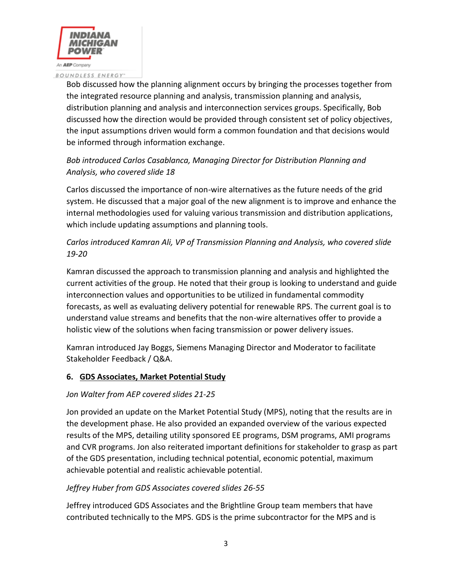

#### BOUNDLESS ENERGY"

Bob discussed how the planning alignment occurs by bringing the processes together from the integrated resource planning and analysis, transmission planning and analysis, distribution planning and analysis and interconnection services groups. Specifically, Bob discussed how the direction would be provided through consistent set of policy objectives, the input assumptions driven would form a common foundation and that decisions would be informed through information exchange.

# *Bob introduced Carlos Casablanca, Managing Director for Distribution Planning and Analysis, who covered slide 18*

Carlos discussed the importance of non-wire alternatives as the future needs of the grid system. He discussed that a major goal of the new alignment is to improve and enhance the internal methodologies used for valuing various transmission and distribution applications, which include updating assumptions and planning tools.

# *Carlos introduced Kamran Ali, VP of Transmission Planning and Analysis, who covered slide 19-20*

Kamran discussed the approach to transmission planning and analysis and highlighted the current activities of the group. He noted that their group is looking to understand and guide interconnection values and opportunities to be utilized in fundamental commodity forecasts, as well as evaluating delivery potential for renewable RPS. The current goal is to understand value streams and benefits that the non-wire alternatives offer to provide a holistic view of the solutions when facing transmission or power delivery issues.

Kamran introduced Jay Boggs, Siemens Managing Director and Moderator to facilitate Stakeholder Feedback / Q&A.

# **6. GDS Associates, Market Potential Study**

# *Jon Walter from AEP covered slides 21-25*

Jon provided an update on the Market Potential Study (MPS), noting that the results are in the development phase. He also provided an expanded overview of the various expected results of the MPS, detailing utility sponsored EE programs, DSM programs, AMI programs and CVR programs. Jon also reiterated important definitions for stakeholder to grasp as part of the GDS presentation, including technical potential, economic potential, maximum achievable potential and realistic achievable potential.

# *Jeffrey Huber from GDS Associates covered slides 26-55*

Jeffrey introduced GDS Associates and the Brightline Group team members that have contributed technically to the MPS. GDS is the prime subcontractor for the MPS and is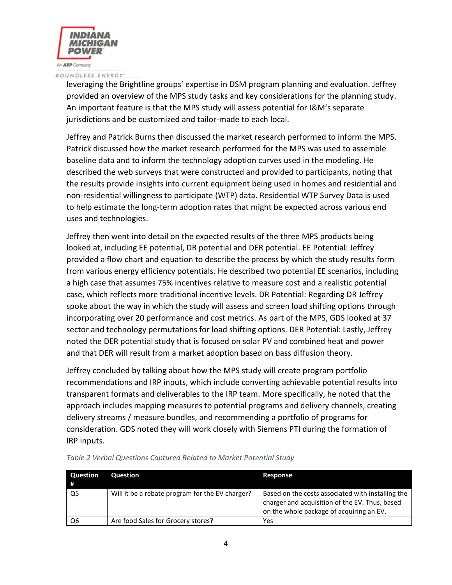

#### BOUNDLESS ENERGY"

leveraging the Brightline groups' expertise in DSM program planning and evaluation. Jeffrey provided an overview of the MPS study tasks and key considerations for the planning study. An important feature is that the MPS study will assess potential for I&M's separate jurisdictions and be customized and tailor-made to each local.

Jeffrey and Patrick Burns then discussed the market research performed to inform the MPS. Patrick discussed how the market research performed for the MPS was used to assemble baseline data and to inform the technology adoption curves used in the modeling. He described the web surveys that were constructed and provided to participants, noting that the results provide insights into current equipment being used in homes and residential and non-residential willingness to participate (WTP) data. Residential WTP Survey Data is used to help estimate the long-term adoption rates that might be expected across various end uses and technologies.

Jeffrey then went into detail on the expected results of the three MPS products being looked at, including EE potential, DR potential and DER potential. EE Potential: Jeffrey provided a flow chart and equation to describe the process by which the study results form from various energy efficiency potentials. He described two potential EE scenarios, including a high case that assumes 75% incentives relative to measure cost and a realistic potential case, which reflects more traditional incentive levels. DR Potential: Regarding DR Jeffrey spoke about the way in which the study will assess and screen load shifting options through incorporating over 20 performance and cost metrics. As part of the MPS, GDS looked at 37 sector and technology permutations for load shifting options. DER Potential: Lastly, Jeffrey noted the DER potential study that is focused on solar PV and combined heat and power and that DER will result from a market adoption based on bass diffusion theory.

Jeffrey concluded by talking about how the MPS study will create program portfolio recommendations and IRP inputs, which include converting achievable potential results into transparent formats and deliverables to the IRP team. More specifically, he noted that the approach includes mapping measures to potential programs and delivery channels, creating delivery streams / measure bundles, and recommending a portfolio of programs for consideration. GDS noted they will work closely with Siemens PTI during the formation of IRP inputs.

| Question | Question                                        | Response                                                                                                                                        |
|----------|-------------------------------------------------|-------------------------------------------------------------------------------------------------------------------------------------------------|
| Q5       | Will it be a rebate program for the EV charger? | Based on the costs associated with installing the<br>charger and acquisition of the EV. Thus, based<br>on the whole package of acquiring an EV. |
| Q6       | Are food Sales for Grocery stores?              | Yes                                                                                                                                             |

#### *Table 2 Verbal Questions Captured Related to Market Potential Study*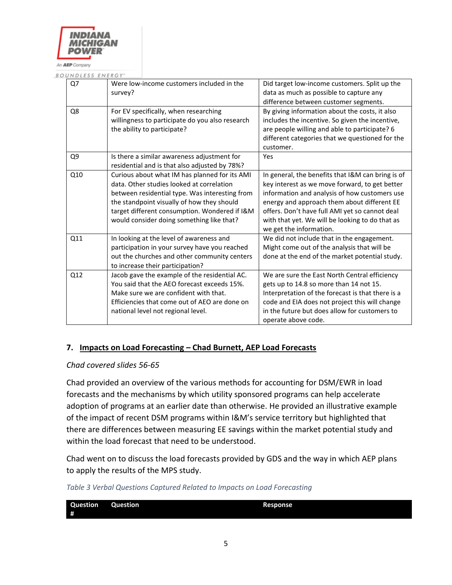

BOUNDLESS ENERGY"

| Q7  | Were low-income customers included in the       | Did target low-income customers. Split up the     |
|-----|-------------------------------------------------|---------------------------------------------------|
|     | survey?                                         | data as much as possible to capture any           |
|     |                                                 | difference between customer segments.             |
| Q8  | For EV specifically, when researching           | By giving information about the costs, it also    |
|     | willingness to participate do you also research | includes the incentive. So given the incentive,   |
|     | the ability to participate?                     | are people willing and able to participate? 6     |
|     |                                                 | different categories that we questioned for the   |
|     |                                                 | customer.                                         |
| Q9  | Is there a similar awareness adjustment for     | Yes                                               |
|     | residential and is that also adjusted by 78%?   |                                                   |
| Q10 | Curious about what IM has planned for its AMI   | In general, the benefits that I&M can bring is of |
|     | data. Other studies looked at correlation       | key interest as we move forward, to get better    |
|     | between residential type. Was interesting from  | information and analysis of how customers use     |
|     | the standpoint visually of how they should      | energy and approach them about different EE       |
|     | target different consumption. Wondered if I&M   | offers. Don't have full AMI yet so cannot deal    |
|     | would consider doing something like that?       | with that yet. We will be looking to do that as   |
|     |                                                 | we get the information.                           |
| Q11 | In looking at the level of awareness and        | We did not include that in the engagement.        |
|     | participation in your survey have you reached   | Might come out of the analysis that will be       |
|     | out the churches and other community centers    | done at the end of the market potential study.    |
|     | to increase their participation?                |                                                   |
| Q12 | Jacob gave the example of the residential AC.   | We are sure the East North Central efficiency     |
|     | You said that the AEO forecast exceeds 15%.     | gets up to 14.8 so more than 14 not 15.           |
|     | Make sure we are confident with that.           | Interpretation of the forecast is that there is a |
|     | Efficiencies that come out of AEO are done on   | code and EIA does not project this will change    |
|     | national level not regional level.              | in the future but does allow for customers to     |
|     |                                                 | operate above code.                               |
|     |                                                 |                                                   |

#### **7. Impacts on Load Forecasting – Chad Burnett, AEP Load Forecasts**

#### *Chad covered slides 56-65*

Chad provided an overview of the various methods for accounting for DSM/EWR in load forecasts and the mechanisms by which utility sponsored programs can help accelerate adoption of programs at an earlier date than otherwise. He provided an illustrative example of the impact of recent DSM programs within I&M's service territory but highlighted that there are differences between measuring EE savings within the market potential study and within the load forecast that need to be understood.

Chad went on to discuss the load forecasts provided by GDS and the way in which AEP plans to apply the results of the MPS study.

*Table 3 Verbal Questions Captured Related to Impacts on Load Forecasting*

| Question | <b>Question</b> | <b>Response</b> |
|----------|-----------------|-----------------|
|          |                 |                 |
| #        |                 |                 |
|          |                 |                 |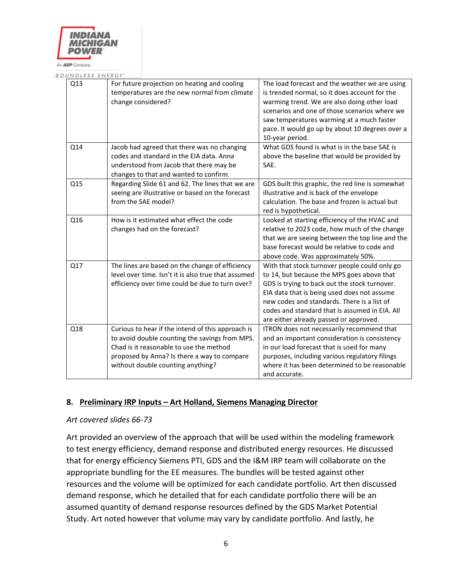

BOUNDLESS ENERGY-

| Q13 | For future projection on heating and cooling<br>temperatures are the new normal from climate<br>change considered?                                                                                                                 | The load forecast and the weather we are using<br>is trended normal, so it does account for the<br>warming trend. We are also doing other load<br>scenarios and one of those scenarios where we<br>saw temperatures warming at a much faster<br>pace. It would go up by about 10 degrees over a<br>10-year period.                     |
|-----|------------------------------------------------------------------------------------------------------------------------------------------------------------------------------------------------------------------------------------|----------------------------------------------------------------------------------------------------------------------------------------------------------------------------------------------------------------------------------------------------------------------------------------------------------------------------------------|
| Q14 | Jacob had agreed that there was no changing<br>codes and standard in the EIA data. Anna<br>understood from Jacob that there may be<br>changes to that and wanted to confirm.                                                       | What GDS found is what is in the base SAE is<br>above the baseline that would be provided by<br>SAE.                                                                                                                                                                                                                                   |
| Q15 | Regarding Slide 61 and 62. The lines that we are<br>seeing are illustrative or based on the forecast<br>from the SAE model?                                                                                                        | GDS built this graphic, the red line is somewhat<br>illustrative and is back of the envelope<br>calculation. The base and frozen is actual but<br>red is hypothetical.                                                                                                                                                                 |
| Q16 | How is it estimated what effect the code<br>changes had on the forecast?                                                                                                                                                           | Looked at starting efficiency of the HVAC and<br>relative to 2023 code, how much of the change<br>that we are seeing between the top line and the<br>base forecast would be relative to code and<br>above code. Was approximately 50%.                                                                                                 |
| Q17 | The lines are based on the change of efficiency<br>level over time. Isn't it is also true that assumed<br>efficiency over time could be due to turn over?                                                                          | With that stock turnover people could only go<br>to 14, but because the MPS goes above that<br>GDS is trying to back out the stock turnover.<br>EIA data that is being used does not assume<br>new codes and standards. There is a list of<br>codes and standard that is assumed in EIA. All<br>are either already passed or approved. |
| Q18 | Curious to hear if the intend of this approach is<br>to avoid double counting the savings from MPS.<br>Chad is it reasonable to use the method<br>proposed by Anna? Is there a way to compare<br>without double counting anything? | ITRON does not necessarily recommend that<br>and an important consideration is consistency<br>in our load forecast that is used for many<br>purposes, including various regulatory filings<br>where it has been determined to be reasonable<br>and accurate.                                                                           |

#### **8. Preliminary IRP Inputs – Art Holland, Siemens Managing Director**

#### *Art covered slides 66-73*

Art provided an overview of the approach that will be used within the modeling framework to test energy efficiency, demand response and distributed energy resources. He discussed that for energy efficiency Siemens PTI, GDS and the I&M IRP team will collaborate on the appropriate bundling for the EE measures. The bundles will be tested against other resources and the volume will be optimized for each candidate portfolio. Art then discussed demand response, which he detailed that for each candidate portfolio there will be an assumed quantity of demand response resources defined by the GDS Market Potential Study. Art noted however that volume may vary by candidate portfolio. And lastly, he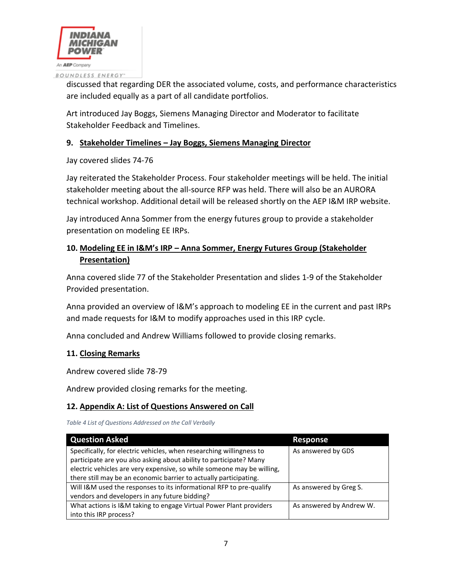

discussed that regarding DER the associated volume, costs, and performance characteristics are included equally as a part of all candidate portfolios.

Art introduced Jay Boggs, Siemens Managing Director and Moderator to facilitate Stakeholder Feedback and Timelines.

# **9. Stakeholder Timelines – Jay Boggs, Siemens Managing Director**

Jay covered slides 74-76

Jay reiterated the Stakeholder Process. Four stakeholder meetings will be held. The initial stakeholder meeting about the all-source RFP was held. There will also be an AURORA technical workshop. Additional detail will be released shortly on the AEP I&M IRP website.

Jay introduced Anna Sommer from the energy futures group to provide a stakeholder presentation on modeling EE IRPs.

# **10. Modeling EE in I&M's IRP – Anna Sommer, Energy Futures Group (Stakeholder Presentation)**

Anna covered slide 77 of the Stakeholder Presentation and slides 1-9 of the Stakeholder Provided presentation.

Anna provided an overview of I&M's approach to modeling EE in the current and past IRPs and made requests for I&M to modify approaches used in this IRP cycle.

Anna concluded and Andrew Williams followed to provide closing remarks.

# **11. Closing Remarks**

Andrew covered slide 78-79

Andrew provided closing remarks for the meeting.

# **12. Appendix A: List of Questions Answered on Call**

*Table 4 List of Questions Addressed on the Call Verbally*

| <b>Question Asked</b>                                                  | <b>Response</b>          |
|------------------------------------------------------------------------|--------------------------|
| Specifically, for electric vehicles, when researching willingness to   | As answered by GDS       |
| participate are you also asking about ability to participate? Many     |                          |
| electric vehicles are very expensive, so while someone may be willing, |                          |
| there still may be an economic barrier to actually participating.      |                          |
| Will I&M used the responses to its informational RFP to pre-qualify    | As answered by Greg S.   |
| vendors and developers in any future bidding?                          |                          |
| What actions is I&M taking to engage Virtual Power Plant providers     | As answered by Andrew W. |
| into this IRP process?                                                 |                          |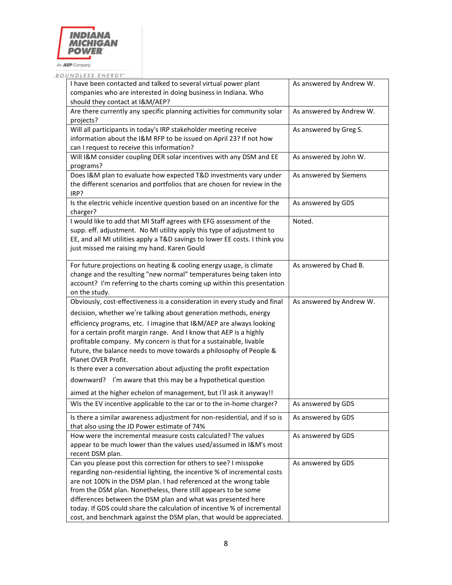

BOUNDLESS ENERGY"

| I have been contacted and talked to several virtual power plant<br>companies who are interested in doing business in Indiana. Who<br>should they contact at I&M/AEP?                                                                                                                                                                                                                                                                                                                                                                                                                             | As answered by Andrew W. |
|--------------------------------------------------------------------------------------------------------------------------------------------------------------------------------------------------------------------------------------------------------------------------------------------------------------------------------------------------------------------------------------------------------------------------------------------------------------------------------------------------------------------------------------------------------------------------------------------------|--------------------------|
| Are there currently any specific planning activities for community solar<br>projects?                                                                                                                                                                                                                                                                                                                                                                                                                                                                                                            | As answered by Andrew W. |
| Will all participants in today's IRP stakeholder meeting receive<br>information about the I&M RFP to be issued on April 23? If not how<br>can I request to receive this information?                                                                                                                                                                                                                                                                                                                                                                                                             | As answered by Greg S.   |
| Will I&M consider coupling DER solar incentives with any DSM and EE<br>programs?                                                                                                                                                                                                                                                                                                                                                                                                                                                                                                                 | As answered by John W.   |
| Does I&M plan to evaluate how expected T&D investments vary under<br>the different scenarios and portfolios that are chosen for review in the<br>IRP?                                                                                                                                                                                                                                                                                                                                                                                                                                            | As answered by Siemens   |
| Is the electric vehicle incentive question based on an incentive for the<br>charger?                                                                                                                                                                                                                                                                                                                                                                                                                                                                                                             | As answered by GDS       |
| I would like to add that MI Staff agrees with EFG assessment of the<br>supp. eff. adjustment. No MI utility apply this type of adjustment to<br>EE, and all MI utilities apply a T&D savings to lower EE costs. I think you<br>just missed me raising my hand. Karen Gould                                                                                                                                                                                                                                                                                                                       | Noted.                   |
| For future projections on heating & cooling energy usage, is climate<br>change and the resulting "new normal" temperatures being taken into<br>account? I'm referring to the charts coming up within this presentation<br>on the study.                                                                                                                                                                                                                                                                                                                                                          | As answered by Chad B.   |
| Obviously, cost-effectiveness is a consideration in every study and final                                                                                                                                                                                                                                                                                                                                                                                                                                                                                                                        | As answered by Andrew W. |
| decision, whether we're talking about generation methods, energy<br>efficiency programs, etc. I imagine that I&M/AEP are always looking<br>for a certain profit margin range. And I know that AEP is a highly<br>profitable company. My concern is that for a sustainable, livable<br>future, the balance needs to move towards a philosophy of People &<br>Planet OVER Profit.<br>Is there ever a conversation about adjusting the profit expectation<br>I'm aware that this may be a hypothetical question<br>downward?<br>aimed at the higher echelon of management, but I'll ask it anyway!! |                          |
| WIs the EV incentive applicable to the car or to the in-home charger?                                                                                                                                                                                                                                                                                                                                                                                                                                                                                                                            | As answered by GDS       |
| Is there a similar awareness adjustment for non-residential, and if so is<br>that also using the JD Power estimate of 74%                                                                                                                                                                                                                                                                                                                                                                                                                                                                        | As answered by GDS       |
| How were the incremental measure costs calculated? The values<br>appear to be much lower than the values used/assumed in I&M's most<br>recent DSM plan.                                                                                                                                                                                                                                                                                                                                                                                                                                          | As answered by GDS       |
| Can you please post this correction for others to see? I misspoke<br>regarding non-residential lighting, the incentive % of incremental costs<br>are not 100% in the DSM plan. I had referenced at the wrong table<br>from the DSM plan. Nonetheless, there still appears to be some<br>differences between the DSM plan and what was presented here<br>today. If GDS could share the calculation of incentive % of incremental<br>cost, and benchmark against the DSM plan, that would be appreciated.                                                                                          | As answered by GDS       |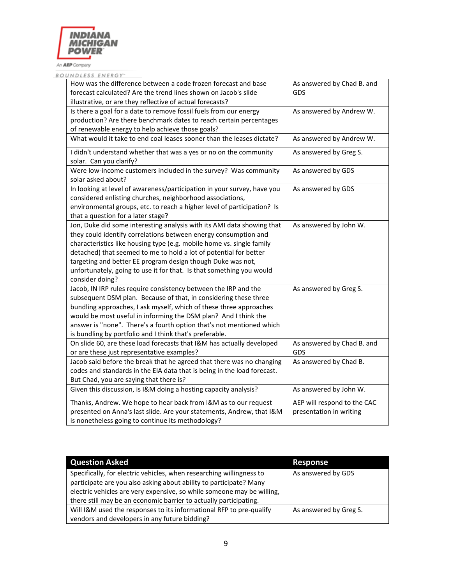

BOUNDLESS ENERGY"

| How was the difference between a code frozen forecast and base<br>forecast calculated? Are the trend lines shown on Jacob's slide<br>illustrative, or are they reflective of actual forecasts?                                                                                                                                                                                                                                                    | As answered by Chad B. and<br><b>GDS</b>               |
|---------------------------------------------------------------------------------------------------------------------------------------------------------------------------------------------------------------------------------------------------------------------------------------------------------------------------------------------------------------------------------------------------------------------------------------------------|--------------------------------------------------------|
| Is there a goal for a date to remove fossil fuels from our energy<br>production? Are there benchmark dates to reach certain percentages<br>of renewable energy to help achieve those goals?                                                                                                                                                                                                                                                       | As answered by Andrew W.                               |
| What would it take to end coal leases sooner than the leases dictate?                                                                                                                                                                                                                                                                                                                                                                             | As answered by Andrew W.                               |
| I didn't understand whether that was a yes or no on the community<br>solar. Can you clarify?                                                                                                                                                                                                                                                                                                                                                      | As answered by Greg S.                                 |
| Were low-income customers included in the survey? Was community<br>solar asked about?                                                                                                                                                                                                                                                                                                                                                             | As answered by GDS                                     |
| In looking at level of awareness/participation in your survey, have you<br>considered enlisting churches, neighborhood associations,<br>environmental groups, etc. to reach a higher level of participation? Is<br>that a question for a later stage?                                                                                                                                                                                             | As answered by GDS                                     |
| Jon, Duke did some interesting analysis with its AMI data showing that<br>they could identify correlations between energy consumption and<br>characteristics like housing type (e.g. mobile home vs. single family<br>detached) that seemed to me to hold a lot of potential for better<br>targeting and better EE program design though Duke was not,<br>unfortunately, going to use it for that. Is that something you would<br>consider doing? | As answered by John W.                                 |
| Jacob, IN IRP rules require consistency between the IRP and the<br>subsequent DSM plan. Because of that, in considering these three<br>bundling approaches, I ask myself, which of these three approaches<br>would be most useful in informing the DSM plan? And I think the<br>answer is "none". There's a fourth option that's not mentioned which<br>is bundling by portfolio and I think that's preferable.                                   | As answered by Greg S.                                 |
| On slide 60, are these load forecasts that I&M has actually developed<br>or are these just representative examples?                                                                                                                                                                                                                                                                                                                               | As answered by Chad B. and<br><b>GDS</b>               |
| Jacob said before the break that he agreed that there was no changing<br>codes and standards in the EIA data that is being in the load forecast.<br>But Chad, you are saying that there is?                                                                                                                                                                                                                                                       | As answered by Chad B.                                 |
| Given this discussion, is I&M doing a hosting capacity analysis?                                                                                                                                                                                                                                                                                                                                                                                  | As answered by John W.                                 |
| Thanks, Andrew. We hope to hear back from I&M as to our request<br>presented on Anna's last slide. Are your statements, Andrew, that I&M<br>is nonetheless going to continue its methodology?                                                                                                                                                                                                                                                     | AEP will respond to the CAC<br>presentation in writing |

| <b>Question Asked</b>                                                  | Response               |
|------------------------------------------------------------------------|------------------------|
| Specifically, for electric vehicles, when researching willingness to   | As answered by GDS     |
| participate are you also asking about ability to participate? Many     |                        |
| electric vehicles are very expensive, so while someone may be willing, |                        |
| there still may be an economic barrier to actually participating.      |                        |
| Will I&M used the responses to its informational RFP to pre-qualify    | As answered by Greg S. |
| vendors and developers in any future bidding?                          |                        |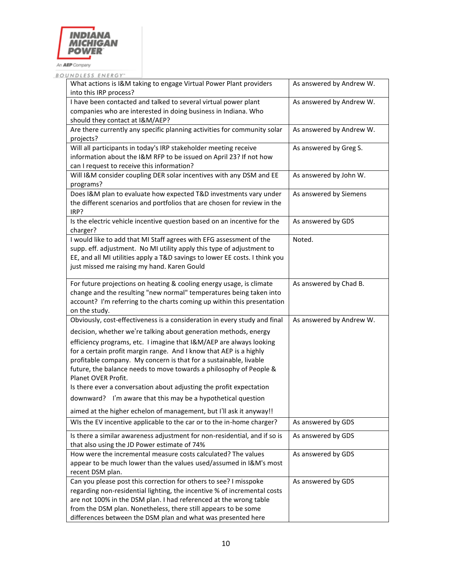

| BOUNDLESS ENERGY" |
|-------------------|
|-------------------|

| What actions is I&M taking to engage Virtual Power Plant providers<br>into this IRP process?                                                                                                                                                                                                                                                                                       | As answered by Andrew W. |
|------------------------------------------------------------------------------------------------------------------------------------------------------------------------------------------------------------------------------------------------------------------------------------------------------------------------------------------------------------------------------------|--------------------------|
| I have been contacted and talked to several virtual power plant<br>companies who are interested in doing business in Indiana. Who<br>should they contact at I&M/AEP?                                                                                                                                                                                                               | As answered by Andrew W. |
| Are there currently any specific planning activities for community solar<br>projects?                                                                                                                                                                                                                                                                                              | As answered by Andrew W. |
| Will all participants in today's IRP stakeholder meeting receive<br>information about the I&M RFP to be issued on April 23? If not how<br>can I request to receive this information?                                                                                                                                                                                               | As answered by Greg S.   |
| Will I&M consider coupling DER solar incentives with any DSM and EE<br>programs?                                                                                                                                                                                                                                                                                                   | As answered by John W.   |
| Does I&M plan to evaluate how expected T&D investments vary under<br>the different scenarios and portfolios that are chosen for review in the<br>IRP?                                                                                                                                                                                                                              | As answered by Siemens   |
| Is the electric vehicle incentive question based on an incentive for the<br>charger?                                                                                                                                                                                                                                                                                               | As answered by GDS       |
| I would like to add that MI Staff agrees with EFG assessment of the<br>supp. eff. adjustment. No MI utility apply this type of adjustment to<br>EE, and all MI utilities apply a T&D savings to lower EE costs. I think you<br>just missed me raising my hand. Karen Gould                                                                                                         | Noted.                   |
| For future projections on heating & cooling energy usage, is climate<br>change and the resulting "new normal" temperatures being taken into<br>account? I'm referring to the charts coming up within this presentation<br>on the study.                                                                                                                                            | As answered by Chad B.   |
| Obviously, cost-effectiveness is a consideration in every study and final                                                                                                                                                                                                                                                                                                          | As answered by Andrew W. |
| decision, whether we're talking about generation methods, energy                                                                                                                                                                                                                                                                                                                   |                          |
| efficiency programs, etc. I imagine that I&M/AEP are always looking<br>for a certain profit margin range. And I know that AEP is a highly<br>profitable company. My concern is that for a sustainable, livable<br>future, the balance needs to move towards a philosophy of People &<br>Planet OVER Profit.<br>Is there ever a conversation about adjusting the profit expectation |                          |
| downward? I'm aware that this may be a hypothetical question                                                                                                                                                                                                                                                                                                                       |                          |
| aimed at the higher echelon of management, but I'll ask it anyway!!                                                                                                                                                                                                                                                                                                                |                          |
| WIs the EV incentive applicable to the car or to the in-home charger?                                                                                                                                                                                                                                                                                                              | As answered by GDS       |
| Is there a similar awareness adjustment for non-residential, and if so is<br>that also using the JD Power estimate of 74%                                                                                                                                                                                                                                                          | As answered by GDS       |
| How were the incremental measure costs calculated? The values<br>appear to be much lower than the values used/assumed in I&M's most<br>recent DSM plan.                                                                                                                                                                                                                            | As answered by GDS       |
| Can you please post this correction for others to see? I misspoke<br>regarding non-residential lighting, the incentive % of incremental costs<br>are not 100% in the DSM plan. I had referenced at the wrong table<br>from the DSM plan. Nonetheless, there still appears to be some<br>differences between the DSM plan and what was presented here                               | As answered by GDS       |